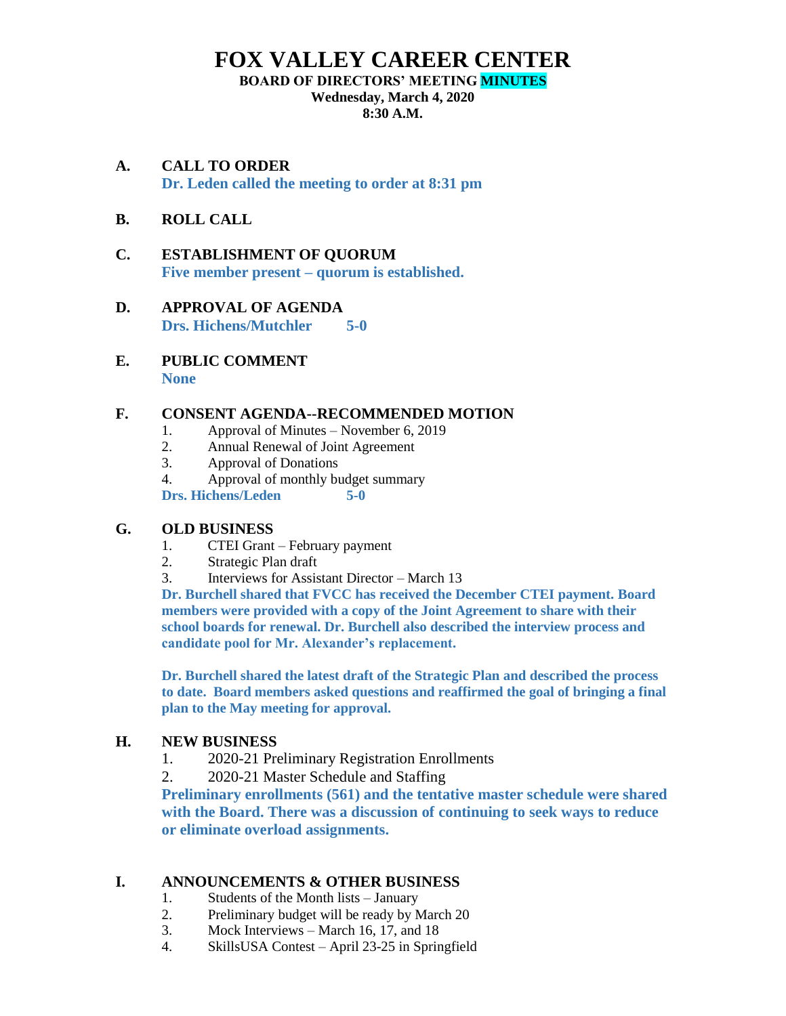# **FOX VALLEY CAREER CENTER**

#### **BOARD OF DIRECTORS' MEETING MINUTES**

**Wednesday, March 4, 2020**

**8:30 A.M.**

- **A. CALL TO ORDER Dr. Leden called the meeting to order at 8:31 pm**
- **B. ROLL CALL**
- **C. ESTABLISHMENT OF QUORUM Five member present – quorum is established.**
- **D. APPROVAL OF AGENDA Drs. Hichens/Mutchler 5-0**
- **E. PUBLIC COMMENT None**

#### **F. CONSENT AGENDA--RECOMMENDED MOTION**

- 1. Approval of Minutes November 6, 2019
- 2. Annual Renewal of Joint Agreement
- 3. Approval of Donations
- 4. Approval of monthly budget summary

**Drs. Hichens/Leden 5-0**

#### **G. OLD BUSINESS**

- 1. CTEI Grant February payment
- 2. Strategic Plan draft
- 3. Interviews for Assistant Director March 13

**Dr. Burchell shared that FVCC has received the December CTEI payment. Board members were provided with a copy of the Joint Agreement to share with their school boards for renewal. Dr. Burchell also described the interview process and candidate pool for Mr. Alexander's replacement.** 

**Dr. Burchell shared the latest draft of the Strategic Plan and described the process to date. Board members asked questions and reaffirmed the goal of bringing a final plan to the May meeting for approval.** 

#### **H. NEW BUSINESS**

- 1. 2020-21 Preliminary Registration Enrollments
- 2. 2020-21 Master Schedule and Staffing

**Preliminary enrollments (561) and the tentative master schedule were shared with the Board. There was a discussion of continuing to seek ways to reduce or eliminate overload assignments.** 

#### **I. ANNOUNCEMENTS & OTHER BUSINESS**

- 1. Students of the Month lists January
- 2. Preliminary budget will be ready by March 20
- 3. Mock Interviews March 16, 17, and 18
- 4. SkillsUSA Contest April 23-25 in Springfield